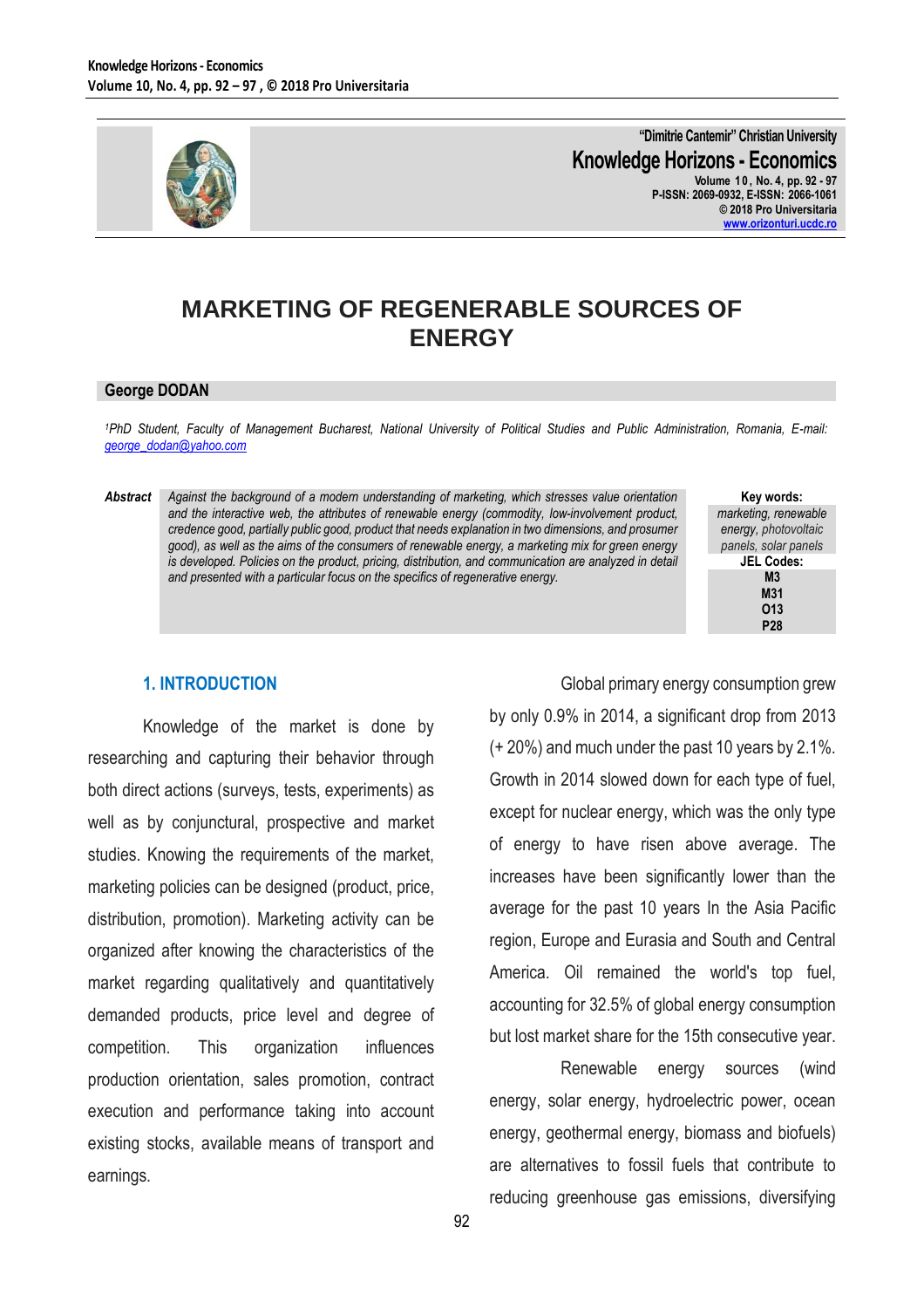

**"Dimitrie Cantemir" Christian University Knowledge Horizons - Economics Volume 1 0 , No. 4, pp. 92 - 97 P-ISSN: 2069-0932, E-ISSN: 2066-1061 © 2018 Pro Universitaria [www.orizonturi.ucdc.ro](http://www.orizonturi.ucdc.ro/)**

# **MARKETING OF REGENERABLE SOURCES OF ENERGY**

#### **George DODAN**

*<sup>1</sup>PhD Student, Faculty of Management Bucharest, National University of Political Studies and Public Administration, Romania, E-mail: [george\\_dodan@yahoo.com](mailto:george_dodan@yahoo.com)*

*Abstract Against the background of a modern understanding of marketing, which stresses value orientation and the interactive web, the attributes of renewable energy (commodity, low-involvement product, credence good, partially public good, product that needs explanation in two dimensions, and prosumer good), as well as the aims of the consumers of renewable energy, a marketing mix for green energy is developed. Policies on the product, pricing, distribution, and communication are analyzed in detail and presented with a particular focus on the specifics of regenerative energy.*

**Key words:** *marketing, renewable energy, photovoltaic panels, solar panels* **JEL Codes: M3 M31 O13 P28**

### **1. INTRODUCTION**

Knowledge of the market is done by researching and capturing their behavior through both direct actions (surveys, tests, experiments) as well as by conjunctural, prospective and market studies. Knowing the requirements of the market, marketing policies can be designed (product, price, distribution, promotion). Marketing activity can be organized after knowing the characteristics of the market regarding qualitatively and quantitatively demanded products, price level and degree of competition. This organization influences production orientation, sales promotion, contract execution and performance taking into account existing stocks, available means of transport and earnings.

Global primary energy consumption grew by only 0.9% in 2014, a significant drop from 2013 (+ 20%) and much under the past 10 years by 2.1%. Growth in 2014 slowed down for each type of fuel, except for nuclear energy, which was the only type of energy to have risen above average. The increases have been significantly lower than the average for the past 10 years In the Asia Pacific region, Europe and Eurasia and South and Central America. Oil remained the world's top fuel, accounting for 32.5% of global energy consumption but lost market share for the 15th consecutive year.

Renewable energy sources (wind energy, solar energy, hydroelectric power, ocean energy, geothermal energy, biomass and biofuels) are alternatives to fossil fuels that contribute to reducing greenhouse gas emissions, diversifying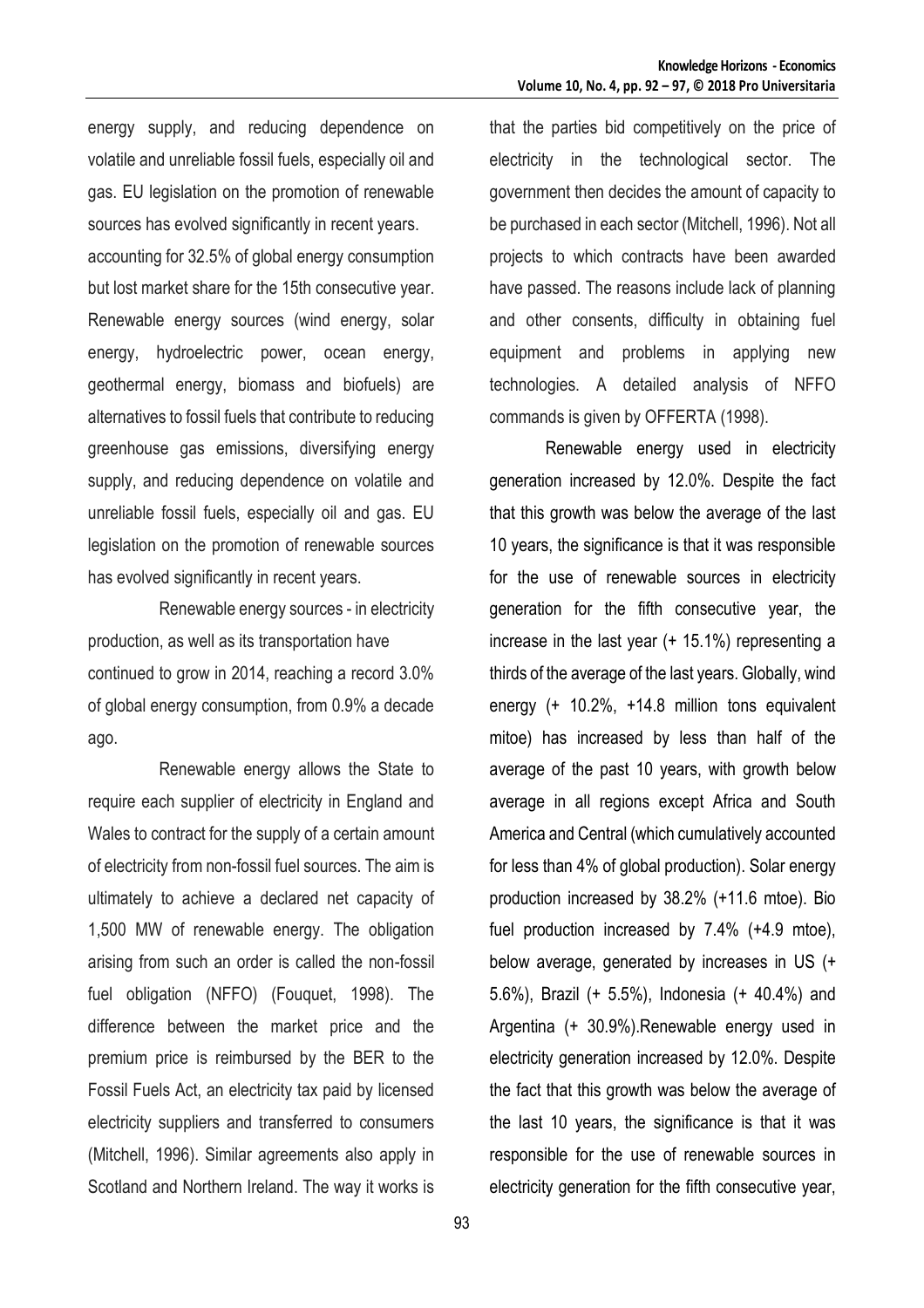energy supply, and reducing dependence on volatile and unreliable fossil fuels, especially oil and gas. EU legislation on the promotion of renewable sources has evolved significantly in recent years. accounting for 32.5% of global energy consumption but lost market share for the 15th consecutive year. Renewable energy sources (wind energy, solar energy, hydroelectric power, ocean energy, geothermal energy, biomass and biofuels) are alternatives to fossil fuels that contribute to reducing greenhouse gas emissions, diversifying energy supply, and reducing dependence on volatile and unreliable fossil fuels, especially oil and gas. EU legislation on the promotion of renewable sources has evolved significantly in recent years.

Renewable energy sources - in electricity production, as well as its transportation have continued to grow in 2014, reaching a record 3.0% of global energy consumption, from 0.9% a decade ago.

Renewable energy allows the State to require each supplier of electricity in England and Wales to contract for the supply of a certain amount of electricity from non-fossil fuel sources. The aim is ultimately to achieve a declared net capacity of 1,500 MW of renewable energy. The obligation arising from such an order is called the non-fossil fuel obligation (NFFO) (Fouquet, 1998). The difference between the market price and the premium price is reimbursed by the BER to the Fossil Fuels Act, an electricity tax paid by licensed electricity suppliers and transferred to consumers (Mitchell, 1996). Similar agreements also apply in Scotland and Northern Ireland. The way it works is

that the parties bid competitively on the price of electricity in the technological sector. The government then decides the amount of capacity to be purchased in each sector (Mitchell, 1996). Not all projects to which contracts have been awarded have passed. The reasons include lack of planning and other consents, difficulty in obtaining fuel equipment and problems in applying new technologies. A detailed analysis of NFFO commands is given by OFFERTA (1998).

Renewable energy used in electricity generation increased by 12.0%. Despite the fact that this growth was below the average of the last 10 years, the significance is that it was responsible for the use of renewable sources in electricity generation for the fifth consecutive year, the increase in the last year (+ 15.1%) representing a thirds of the average of the last years. Globally, wind energy (+ 10.2%, +14.8 million tons equivalent mitoe) has increased by less than half of the average of the past 10 years, with growth below average in all regions except Africa and South America and Central (which cumulatively accounted for less than 4% of global production). Solar energy production increased by 38.2% (+11.6 mtoe). Bio fuel production increased by 7.4% (+4.9 mtoe), below average, generated by increases in US (+ 5.6%), Brazil (+ 5.5%), Indonesia (+ 40.4%) and Argentina (+ 30.9%).Renewable energy used in electricity generation increased by 12.0%. Despite the fact that this growth was below the average of the last 10 years, the significance is that it was responsible for the use of renewable sources in electricity generation for the fifth consecutive year,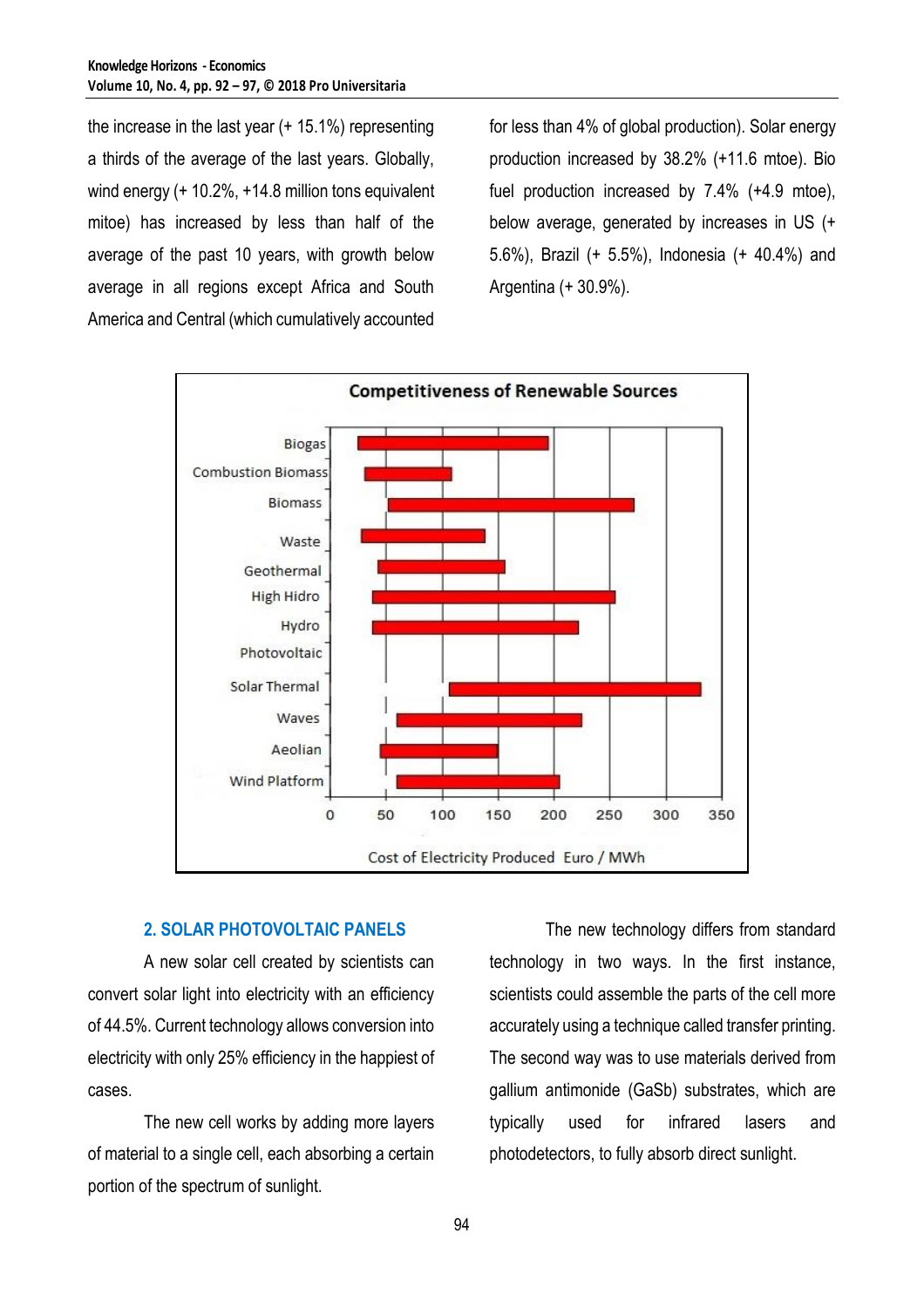the increase in the last year (+ 15.1%) representing a thirds of the average of the last years. Globally, wind energy (+ 10.2%, +14.8 million tons equivalent mitoe) has increased by less than half of the average of the past 10 years, with growth below average in all regions except Africa and South America and Central (which cumulatively accounted

for less than 4% of global production). Solar energy production increased by 38.2% (+11.6 mtoe). Bio fuel production increased by 7.4% (+4.9 mtoe), below average, generated by increases in US (+ 5.6%), Brazil (+ 5.5%), Indonesia (+ 40.4%) and Argentina (+ 30.9%).



### **2. SOLAR PHOTOVOLTAIC PANELS**

A new solar cell created by scientists can convert solar light into electricity with an efficiency of 44.5%. Current technology allows conversion into electricity with only 25% efficiency in the happiest of cases.

The new cell works by adding more layers of material to a single cell, each absorbing a certain portion of the spectrum of sunlight.

The new technology differs from standard technology in two ways. In the first instance, scientists could assemble the parts of the cell more accurately using a technique called transfer printing. The second way was to use materials derived from gallium antimonide (GaSb) substrates, which are typically used for infrared lasers and photodetectors, to fully absorb direct sunlight.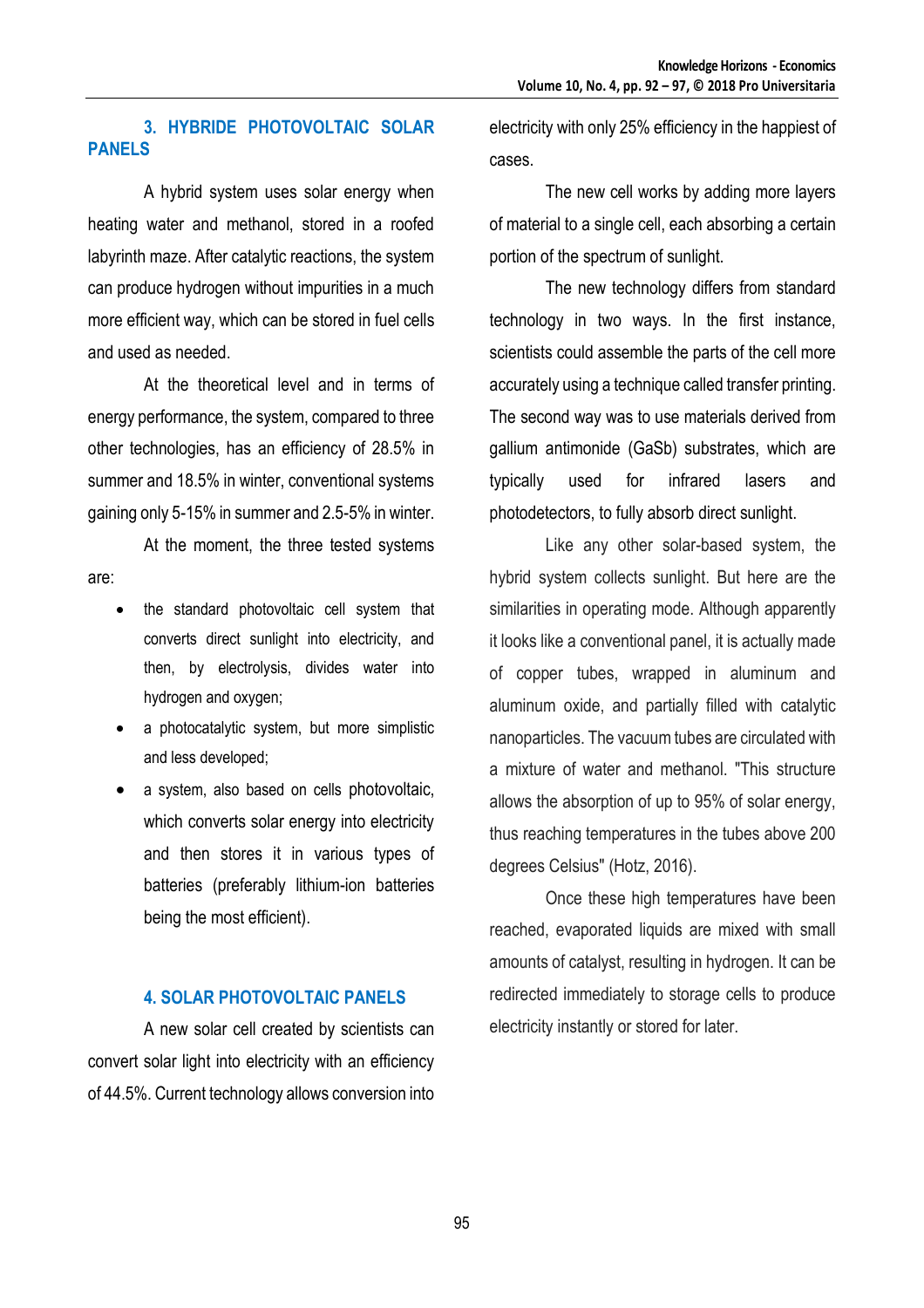### **3. HYBRIDE PHOTOVOLTAIC SOLAR PANELS**

A hybrid system uses solar energy when heating water and methanol, stored in a roofed labyrinth maze. After catalytic reactions, the system can produce hydrogen without impurities in a much more efficient way, which can be stored in fuel cells and used as needed.

At the theoretical level and in terms of energy performance, the system, compared to three other technologies, has an efficiency of 28.5% in summer and 18.5% in winter, conventional systems gaining only 5-15% in summer and 2.5-5% in winter.

At the moment, the three tested systems are:

- the standard photovoltaic cell system that converts direct sunlight into electricity, and then, by electrolysis, divides water into hydrogen and oxygen;
- a photocatalytic system, but more simplistic and less developed;
- a system, also based on cells photovoltaic, which converts solar energy into electricity and then stores it in various types of batteries (preferably lithium-ion batteries being the most efficient).

### **4. SOLAR PHOTOVOLTAIC PANELS**

A new solar cell created by scientists can convert solar light into electricity with an efficiency of 44.5%. Current technology allows conversion into

electricity with only 25% efficiency in the happiest of cases.

The new cell works by adding more layers of material to a single cell, each absorbing a certain portion of the spectrum of sunlight.

The new technology differs from standard technology in two ways. In the first instance, scientists could assemble the parts of the cell more accurately using a technique called transfer printing. The second way was to use materials derived from gallium antimonide (GaSb) substrates, which are typically used for infrared lasers and photodetectors, to fully absorb direct sunlight.

Like any other solar-based system, the hybrid system collects sunlight. But here are the similarities in operating mode. Although apparently it looks like a conventional panel, it is actually made of copper tubes, wrapped in aluminum and aluminum oxide, and partially filled with catalytic nanoparticles. The vacuum tubes are circulated with a mixture of water and methanol. "This structure allows the absorption of up to 95% of solar energy, thus reaching temperatures in the tubes above 200 degrees Celsius" (Hotz, 2016).

Once these high temperatures have been reached, evaporated liquids are mixed with small amounts of catalyst, resulting in hydrogen. It can be redirected immediately to storage cells to produce electricity instantly or stored for later.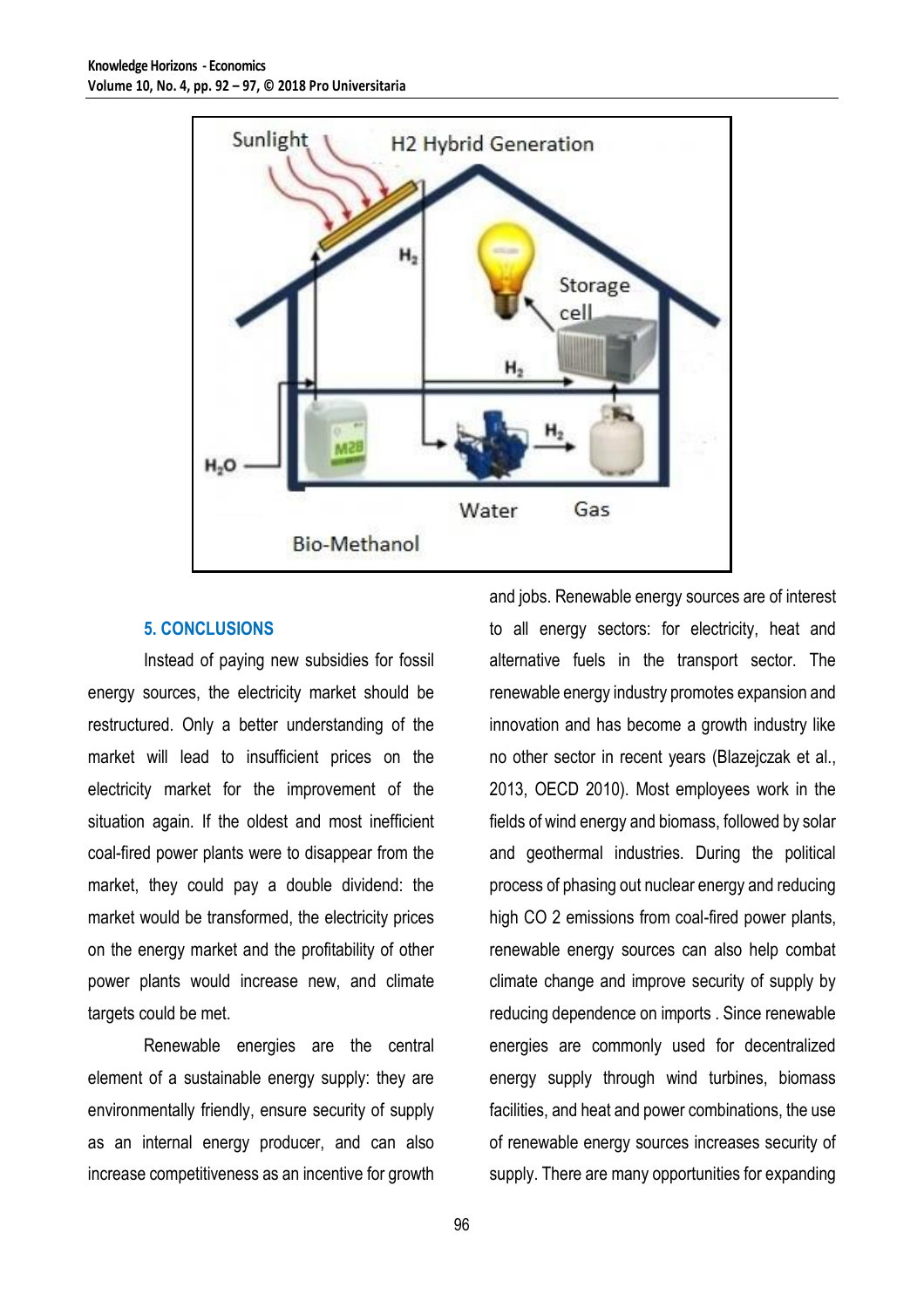

### **5. CONCLUSIONS**

Instead of paying new subsidies for fossil energy sources, the electricity market should be restructured. Only a better understanding of the market will lead to insufficient prices on the electricity market for the improvement of the situation again. If the oldest and most inefficient coal-fired power plants were to disappear from the market, they could pay a double dividend: the market would be transformed, the electricity prices on the energy market and the profitability of other power plants would increase new, and climate targets could be met.

Renewable energies are the central element of a sustainable energy supply: they are environmentally friendly, ensure security of supply as an internal energy producer, and can also increase competitiveness as an incentive for growth

and jobs. Renewable energy sources are of interest to all energy sectors: for electricity, heat and alternative fuels in the transport sector. The renewable energy industry promotes expansion and innovation and has become a growth industry like no other sector in recent years (Blazejczak et al., 2013, OECD 2010). Most employees work in the fields of wind energy and biomass, followed by solar and geothermal industries. During the political process of phasing out nuclear energy and reducing high CO 2 emissions from coal-fired power plants, renewable energy sources can also help combat climate change and improve security of supply by reducing dependence on imports . Since renewable energies are commonly used for decentralized energy supply through wind turbines, biomass facilities, and heat and power combinations, the use of renewable energy sources increases security of supply. There are many opportunities for expanding